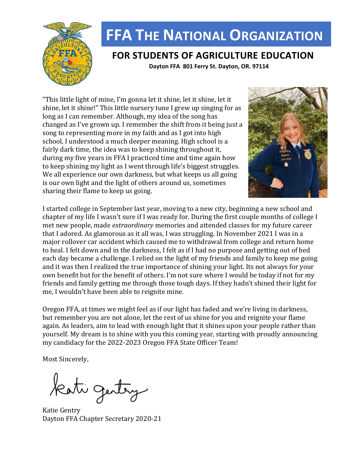

# **FFA THE NATIONAL ORGANIZATION**

## **FOR STUDENTS OF AGRICULTURE EDUCATION**

 **Dayton FFA 801 Ferry St. Dayton, OR. 97114**

"This little light of mine, I'm gonna let it shine, let it shine, let it shine, let it shine!" This little nursery tune I grew up singing for as long as I can remember. Although, my idea of the song has changed as I've grown up. I remember the shift from it being just a song to representing more in my faith and as I got into high school, I understood a much deeper meaning. High school is a fairly dark time, the idea was to keep shining throughout it, during my five years in FFA I practiced time and time again how to keep shining my light as I went through life's biggest struggles. We all experience our own darkness, but what keeps us all going is our own light and the light of others around us, sometimes sharing their flame to keep us going.



I started college in September last year, moving to a new city, beginning a new school and chapter of my life I wasn't sure if I was ready for. During the first couple months of college I met new people, made *extraordinary* memories and attended classes for my future career that I adored. As glamorous as it all was, I was struggling. In November 2021 I was in a major rollover car accident which caused me to withdrawal from college and return home to heal. I felt down and in the darkness, I felt as if I had no purpose and getting out of bed each day became a challenge. I relied on the light of my friends and family to keep me going and it was then I realized the true importance of shining your light. Its not always for your own benefit but for the benefit of others. I'm not sure where I would be today if not for my friends and family getting me through those tough days. If they hadn't shined their light for me, I wouldn't have been able to reignite mine.

Oregon FFA, at times we might feel as if our light has faded and we're living in darkness, but remember you are not alone, let the rest of us shine for you and reignite your flame again. As leaders, aim to lead with enough light that it shines upon your people rather than yourself. My dream is to shine with you this coming year, starting with proudly announcing my candidacy for the 2022-2023 Oregon FFA State Officer Team!

Most Sincerely,

Kati gentry

Katie Gentry Dayton FFA Chapter Secretary 2020-21